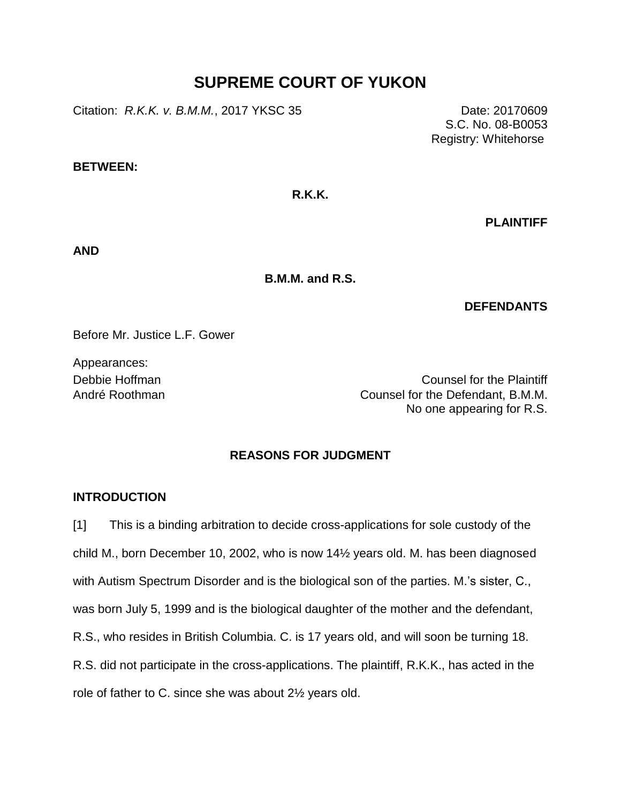# **SUPREME COURT OF YUKON**

Citation: *R.K.K. v. B.M.M.*, 2017 YKSC 35 Date: 20170609

S.C. No. 08-B0053 Registry: Whitehorse

## **BETWEEN:**

### **R.K.K.**

**PLAINTIFF**

**AND**

**B.M.M. and R.S.**

#### **DEFENDANTS**

Before Mr. Justice L.F. Gower

Appearances:

Debbie Hoffman Counsel for the Plaintiff André Roothman Counsel for the Defendant, B.M.M. No one appearing for R.S.

# **REASONS FOR JUDGMENT**

# **INTRODUCTION**

[1] This is a binding arbitration to decide cross-applications for sole custody of the child M., born December 10, 2002, who is now 14½ years old. M. has been diagnosed with Autism Spectrum Disorder and is the biological son of the parties. M.'s sister, C., was born July 5, 1999 and is the biological daughter of the mother and the defendant, R.S., who resides in British Columbia. C. is 17 years old, and will soon be turning 18. R.S. did not participate in the cross-applications. The plaintiff, R.K.K., has acted in the role of father to C. since she was about 2½ years old.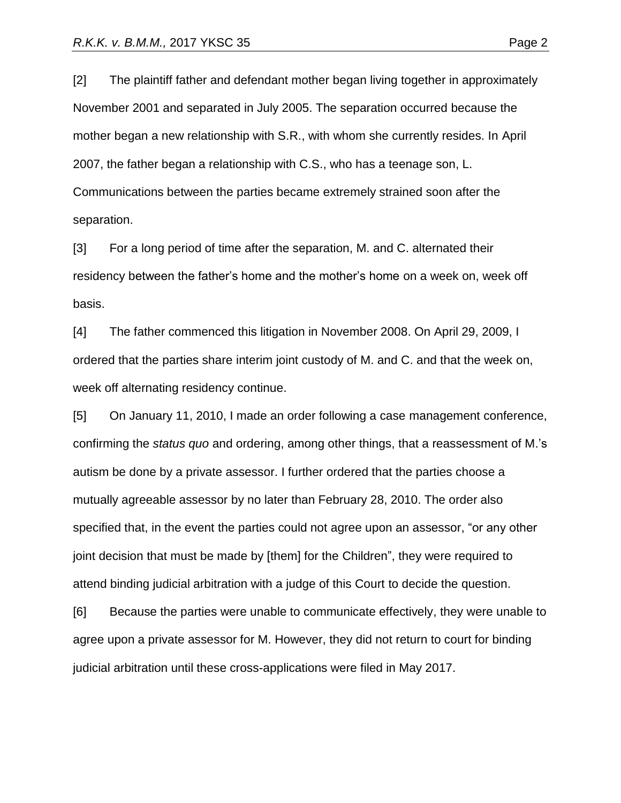[2] The plaintiff father and defendant mother began living together in approximately November 2001 and separated in July 2005. The separation occurred because the mother began a new relationship with S.R., with whom she currently resides. In April 2007, the father began a relationship with C.S., who has a teenage son, L. Communications between the parties became extremely strained soon after the separation.

[3] For a long period of time after the separation, M. and C. alternated their residency between the father's home and the mother's home on a week on, week off basis.

[4] The father commenced this litigation in November 2008. On April 29, 2009, I ordered that the parties share interim joint custody of M. and C. and that the week on, week off alternating residency continue.

[5] On January 11, 2010, I made an order following a case management conference, confirming the *status quo* and ordering, among other things, that a reassessment of M.'s autism be done by a private assessor. I further ordered that the parties choose a mutually agreeable assessor by no later than February 28, 2010. The order also specified that, in the event the parties could not agree upon an assessor, "or any other joint decision that must be made by [them] for the Children", they were required to attend binding judicial arbitration with a judge of this Court to decide the question.

[6] Because the parties were unable to communicate effectively, they were unable to agree upon a private assessor for M. However, they did not return to court for binding judicial arbitration until these cross-applications were filed in May 2017.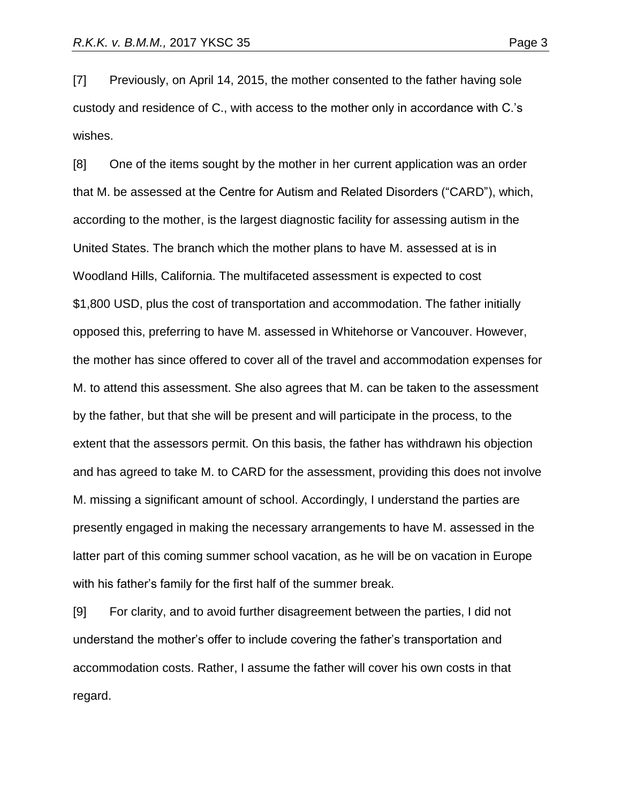[7] Previously, on April 14, 2015, the mother consented to the father having sole custody and residence of C., with access to the mother only in accordance with C.'s wishes.

[8] One of the items sought by the mother in her current application was an order that M. be assessed at the Centre for Autism and Related Disorders ("CARD"), which, according to the mother, is the largest diagnostic facility for assessing autism in the United States. The branch which the mother plans to have M. assessed at is in Woodland Hills, California. The multifaceted assessment is expected to cost \$1,800 USD, plus the cost of transportation and accommodation. The father initially opposed this, preferring to have M. assessed in Whitehorse or Vancouver. However, the mother has since offered to cover all of the travel and accommodation expenses for M. to attend this assessment. She also agrees that M. can be taken to the assessment by the father, but that she will be present and will participate in the process, to the extent that the assessors permit. On this basis, the father has withdrawn his objection and has agreed to take M. to CARD for the assessment, providing this does not involve M. missing a significant amount of school. Accordingly, I understand the parties are presently engaged in making the necessary arrangements to have M. assessed in the latter part of this coming summer school vacation, as he will be on vacation in Europe with his father's family for the first half of the summer break.

[9] For clarity, and to avoid further disagreement between the parties, I did not understand the mother's offer to include covering the father's transportation and accommodation costs. Rather, I assume the father will cover his own costs in that regard.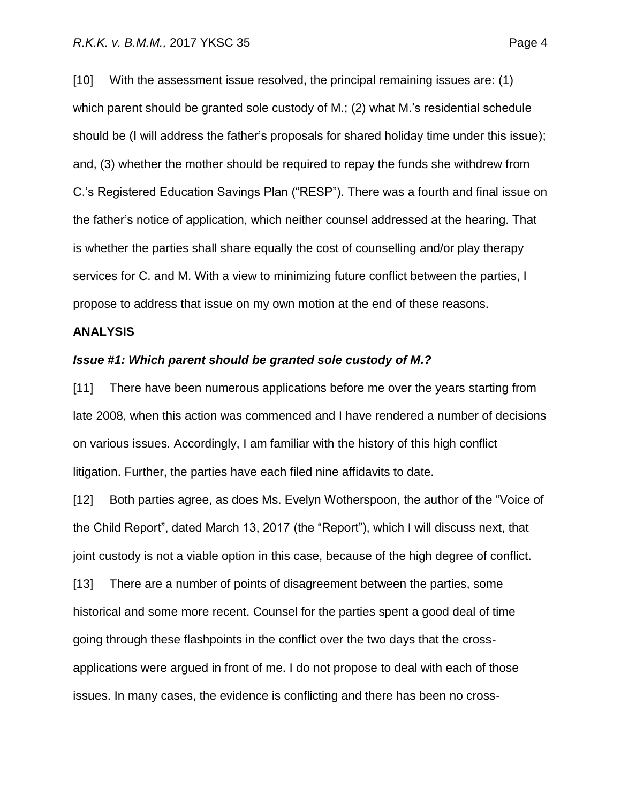[10] With the assessment issue resolved, the principal remaining issues are: (1) which parent should be granted sole custody of M.; (2) what M.'s residential schedule should be (I will address the father's proposals for shared holiday time under this issue); and, (3) whether the mother should be required to repay the funds she withdrew from C.'s Registered Education Savings Plan ("RESP"). There was a fourth and final issue on the father's notice of application, which neither counsel addressed at the hearing. That is whether the parties shall share equally the cost of counselling and/or play therapy services for C. and M. With a view to minimizing future conflict between the parties, I propose to address that issue on my own motion at the end of these reasons.

#### **ANALYSIS**

#### *Issue #1: Which parent should be granted sole custody of M.?*

[11] There have been numerous applications before me over the years starting from late 2008, when this action was commenced and I have rendered a number of decisions on various issues. Accordingly, I am familiar with the history of this high conflict litigation. Further, the parties have each filed nine affidavits to date.

[12] Both parties agree, as does Ms. Evelyn Wotherspoon, the author of the "Voice of the Child Report", dated March 13, 2017 (the "Report"), which I will discuss next, that joint custody is not a viable option in this case, because of the high degree of conflict.

[13] There are a number of points of disagreement between the parties, some historical and some more recent. Counsel for the parties spent a good deal of time going through these flashpoints in the conflict over the two days that the crossapplications were argued in front of me. I do not propose to deal with each of those issues. In many cases, the evidence is conflicting and there has been no cross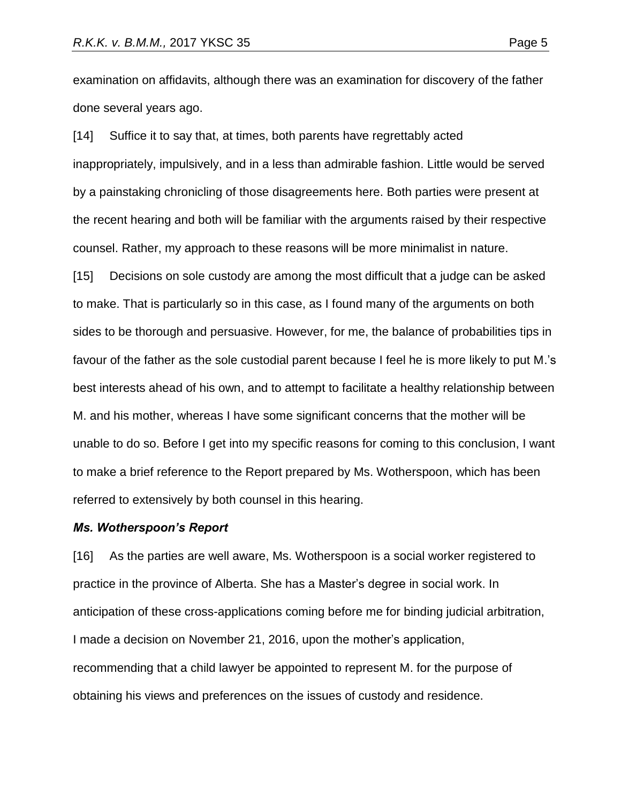examination on affidavits, although there was an examination for discovery of the father done several years ago.

[14] Suffice it to say that, at times, both parents have regrettably acted inappropriately, impulsively, and in a less than admirable fashion. Little would be served by a painstaking chronicling of those disagreements here. Both parties were present at the recent hearing and both will be familiar with the arguments raised by their respective counsel. Rather, my approach to these reasons will be more minimalist in nature.

[15] Decisions on sole custody are among the most difficult that a judge can be asked to make. That is particularly so in this case, as I found many of the arguments on both sides to be thorough and persuasive. However, for me, the balance of probabilities tips in favour of the father as the sole custodial parent because I feel he is more likely to put M.'s best interests ahead of his own, and to attempt to facilitate a healthy relationship between M. and his mother, whereas I have some significant concerns that the mother will be unable to do so. Before I get into my specific reasons for coming to this conclusion, I want to make a brief reference to the Report prepared by Ms. Wotherspoon, which has been referred to extensively by both counsel in this hearing.

#### *Ms. Wotherspoon's Report*

[16] As the parties are well aware, Ms. Wotherspoon is a social worker registered to practice in the province of Alberta. She has a Master's degree in social work. In anticipation of these cross-applications coming before me for binding judicial arbitration, I made a decision on November 21, 2016, upon the mother's application, recommending that a child lawyer be appointed to represent M. for the purpose of obtaining his views and preferences on the issues of custody and residence.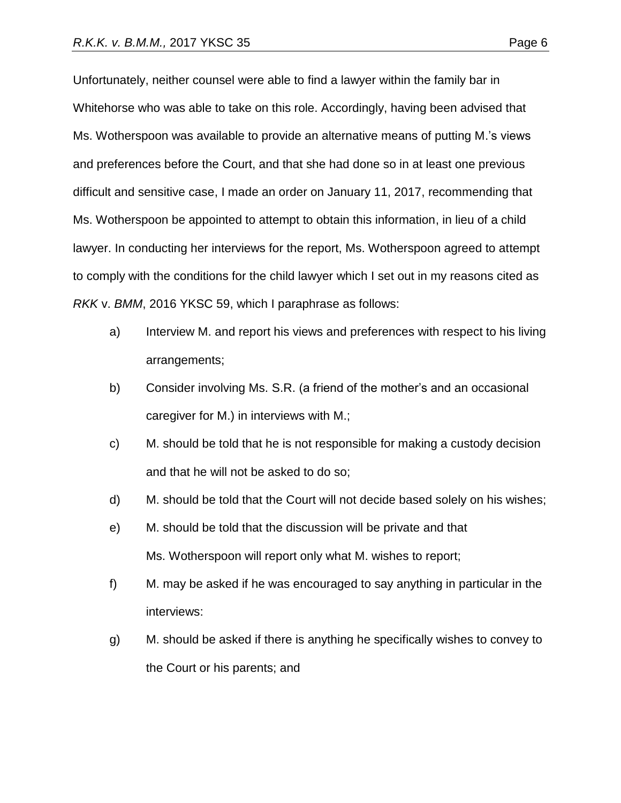Unfortunately, neither counsel were able to find a lawyer within the family bar in Whitehorse who was able to take on this role. Accordingly, having been advised that Ms. Wotherspoon was available to provide an alternative means of putting M.'s views and preferences before the Court, and that she had done so in at least one previous difficult and sensitive case, I made an order on January 11, 2017, recommending that Ms. Wotherspoon be appointed to attempt to obtain this information, in lieu of a child lawyer. In conducting her interviews for the report, Ms. Wotherspoon agreed to attempt

to comply with the conditions for the child lawyer which I set out in my reasons cited as *RKK* v. *BMM*, 2016 YKSC 59, which I paraphrase as follows:

- a) Interview M. and report his views and preferences with respect to his living arrangements;
- b) Consider involving Ms. S.R. (a friend of the mother's and an occasional caregiver for M.) in interviews with M.;
- c) M. should be told that he is not responsible for making a custody decision and that he will not be asked to do so;
- d) M. should be told that the Court will not decide based solely on his wishes;
- e) M. should be told that the discussion will be private and that Ms. Wotherspoon will report only what M. wishes to report;
- f) M. may be asked if he was encouraged to say anything in particular in the interviews:
- g) M. should be asked if there is anything he specifically wishes to convey to the Court or his parents; and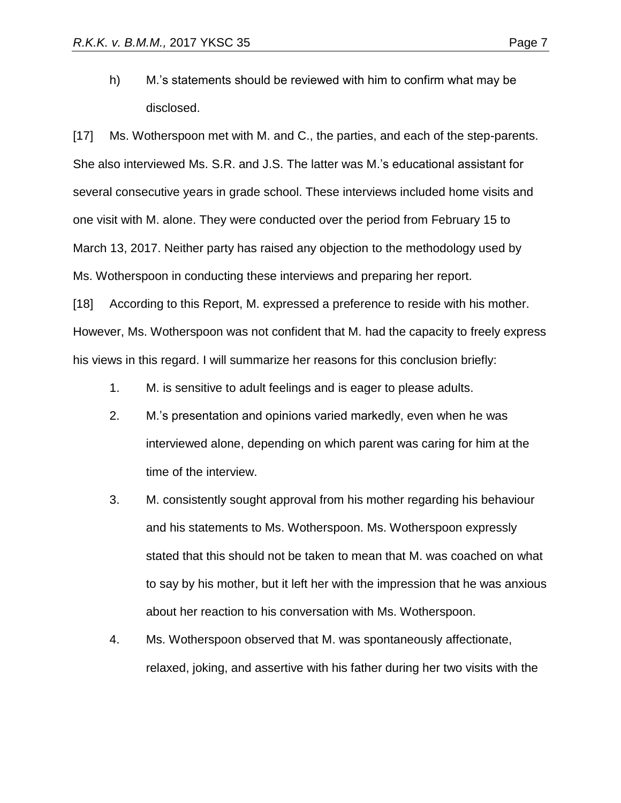h) M.'s statements should be reviewed with him to confirm what may be disclosed.

[17] Ms. Wotherspoon met with M. and C., the parties, and each of the step-parents. She also interviewed Ms. S.R. and J.S. The latter was M.'s educational assistant for several consecutive years in grade school. These interviews included home visits and one visit with M. alone. They were conducted over the period from February 15 to March 13, 2017. Neither party has raised any objection to the methodology used by Ms. Wotherspoon in conducting these interviews and preparing her report.

[18] According to this Report, M. expressed a preference to reside with his mother. However, Ms. Wotherspoon was not confident that M. had the capacity to freely express his views in this regard. I will summarize her reasons for this conclusion briefly:

- 1. M. is sensitive to adult feelings and is eager to please adults.
- 2. M.'s presentation and opinions varied markedly, even when he was interviewed alone, depending on which parent was caring for him at the time of the interview.
- 3. M. consistently sought approval from his mother regarding his behaviour and his statements to Ms. Wotherspoon. Ms. Wotherspoon expressly stated that this should not be taken to mean that M. was coached on what to say by his mother, but it left her with the impression that he was anxious about her reaction to his conversation with Ms. Wotherspoon.
- 4. Ms. Wotherspoon observed that M. was spontaneously affectionate, relaxed, joking, and assertive with his father during her two visits with the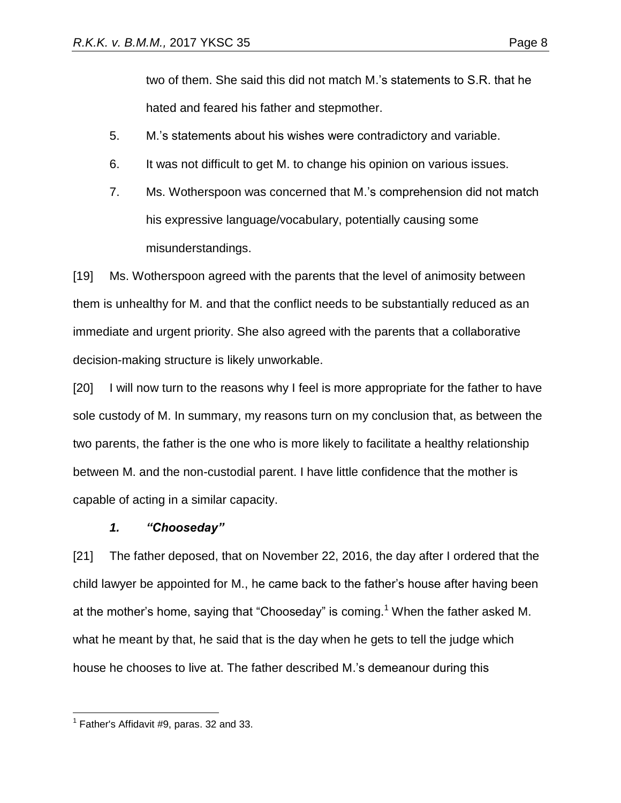two of them. She said this did not match M.'s statements to S.R. that he hated and feared his father and stepmother.

- 5. M.'s statements about his wishes were contradictory and variable.
- 6. It was not difficult to get M. to change his opinion on various issues.
- 7. Ms. Wotherspoon was concerned that M.'s comprehension did not match his expressive language/vocabulary, potentially causing some misunderstandings.

[19] Ms. Wotherspoon agreed with the parents that the level of animosity between them is unhealthy for M. and that the conflict needs to be substantially reduced as an immediate and urgent priority. She also agreed with the parents that a collaborative decision-making structure is likely unworkable.

[20] I will now turn to the reasons why I feel is more appropriate for the father to have sole custody of M. In summary, my reasons turn on my conclusion that, as between the two parents, the father is the one who is more likely to facilitate a healthy relationship between M. and the non-custodial parent. I have little confidence that the mother is capable of acting in a similar capacity.

# *1. "Chooseday"*

[21] The father deposed, that on November 22, 2016, the day after I ordered that the child lawyer be appointed for M., he came back to the father's house after having been at the mother's home, saying that "Chooseday" is coming.<sup>1</sup> When the father asked M. what he meant by that, he said that is the day when he gets to tell the judge which house he chooses to live at. The father described M.'s demeanour during this

 $\overline{a}$  $<sup>1</sup>$  Father's Affidavit #9, paras. 32 and 33.</sup>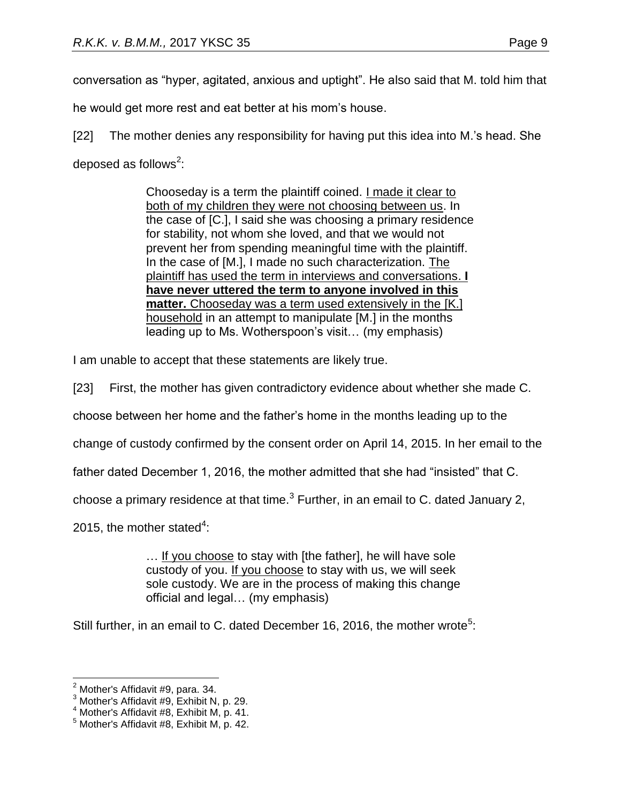he would get more rest and eat better at his mom's house.

[22] The mother denies any responsibility for having put this idea into M.'s head. She deposed as follows<sup>2</sup>:

> Chooseday is a term the plaintiff coined. I made it clear to both of my children they were not choosing between us. In the case of [C.], I said she was choosing a primary residence for stability, not whom she loved, and that we would not prevent her from spending meaningful time with the plaintiff. In the case of [M.], I made no such characterization. The plaintiff has used the term in interviews and conversations. **I have never uttered the term to anyone involved in this matter.** Chooseday was a term used extensively in the [K.] household in an attempt to manipulate [M.] in the months leading up to Ms. Wotherspoon's visit… (my emphasis)

I am unable to accept that these statements are likely true.

[23] First, the mother has given contradictory evidence about whether she made C.

choose between her home and the father's home in the months leading up to the

change of custody confirmed by the consent order on April 14, 2015. In her email to the

father dated December 1, 2016, the mother admitted that she had "insisted" that C.

choose a primary residence at that time. $3$  Further, in an email to C. dated January 2,

2015, the mother stated<sup>4</sup>:

… If you choose to stay with [the father], he will have sole custody of you. If you choose to stay with us, we will seek sole custody. We are in the process of making this change official and legal… (my emphasis)

Still further, in an email to C. dated December 16, 2016, the mother wrote<sup>5</sup>:

 $2$  Mother's Affidavit #9, para. 34.

<sup>3</sup> Mother's Affidavit #9, Exhibit N, p. 29.

<sup>4</sup> Mother's Affidavit #8, Exhibit M, p. 41.

<sup>5</sup> Mother's Affidavit #8, Exhibit M, p. 42.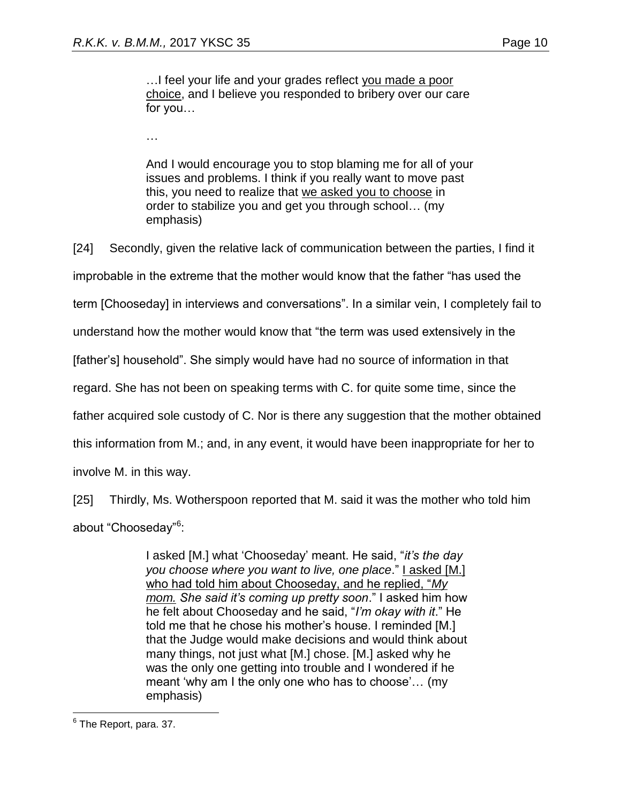...I feel your life and your grades reflect you made a poor choice, and I believe you responded to bribery over our care for you…

…

And I would encourage you to stop blaming me for all of your issues and problems. I think if you really want to move past this, you need to realize that we asked you to choose in order to stabilize you and get you through school… (my emphasis)

[24] Secondly, given the relative lack of communication between the parties, I find it improbable in the extreme that the mother would know that the father "has used the term [Chooseday] in interviews and conversations". In a similar vein, I completely fail to understand how the mother would know that "the term was used extensively in the [father's] household". She simply would have had no source of information in that regard. She has not been on speaking terms with C. for quite some time, since the father acquired sole custody of C. Nor is there any suggestion that the mother obtained this information from M.; and, in any event, it would have been inappropriate for her to involve M. in this way.

[25] Thirdly, Ms. Wotherspoon reported that M. said it was the mother who told him about "Chooseday"<sup>6</sup>:

> I asked [M.] what 'Chooseday' meant. He said, "*it's the day you choose where you want to live, one place*." I asked [M.] who had told him about Chooseday, and he replied, "*My mom. She said it's coming up pretty soon*." I asked him how he felt about Chooseday and he said, "*I'm okay with it*." He told me that he chose his mother's house. I reminded [M.] that the Judge would make decisions and would think about many things, not just what [M.] chose. [M.] asked why he was the only one getting into trouble and I wondered if he meant 'why am I the only one who has to choose'… (my emphasis)

 6 The Report, para. 37.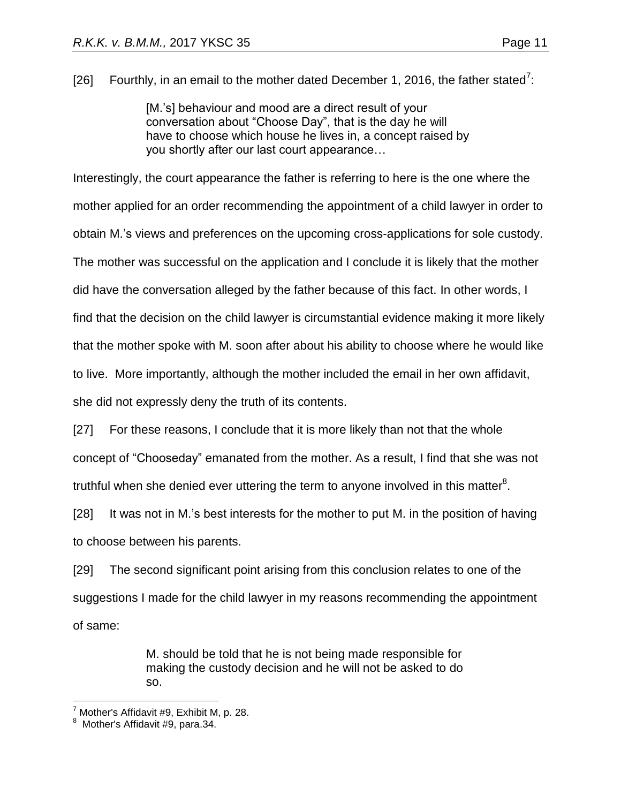[26] Fourthly, in an email to the mother dated December 1, 2016, the father stated<sup>7</sup>:

[M.'s] behaviour and mood are a direct result of your conversation about "Choose Day", that is the day he will have to choose which house he lives in, a concept raised by you shortly after our last court appearance…

Interestingly, the court appearance the father is referring to here is the one where the mother applied for an order recommending the appointment of a child lawyer in order to obtain M.'s views and preferences on the upcoming cross-applications for sole custody. The mother was successful on the application and I conclude it is likely that the mother did have the conversation alleged by the father because of this fact. In other words, I find that the decision on the child lawyer is circumstantial evidence making it more likely that the mother spoke with M. soon after about his ability to choose where he would like to live. More importantly, although the mother included the email in her own affidavit, she did not expressly deny the truth of its contents.

[27] For these reasons, I conclude that it is more likely than not that the whole concept of "Chooseday" emanated from the mother. As a result, I find that she was not truthful when she denied ever uttering the term to anyone involved in this matter<sup>8</sup>.

[28] It was not in M.'s best interests for the mother to put M. in the position of having to choose between his parents.

[29] The second significant point arising from this conclusion relates to one of the suggestions I made for the child lawyer in my reasons recommending the appointment of same:

> M. should be told that he is not being made responsible for making the custody decision and he will not be asked to do so.

 $<sup>7</sup>$  Mother's Affidavit #9, Exhibit M, p. 28.</sup>

Mother's Affidavit #9, para.34.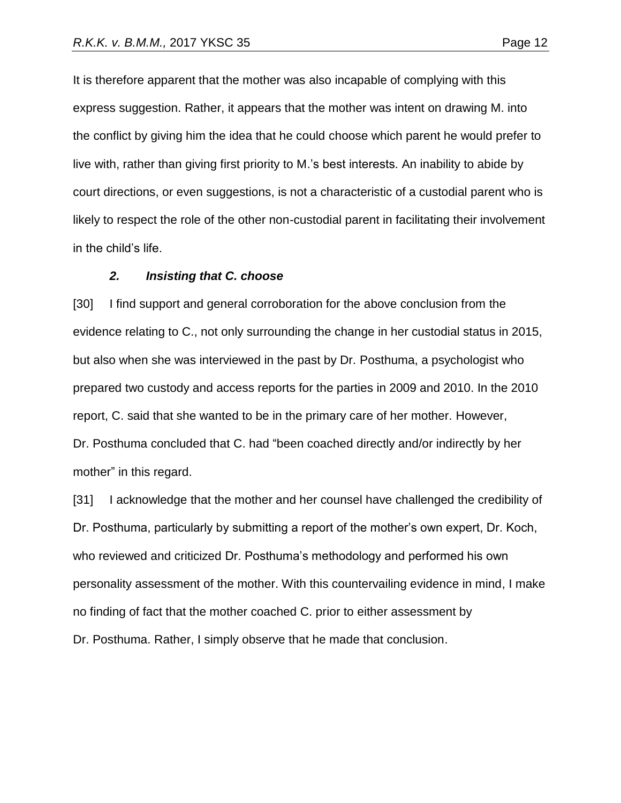It is therefore apparent that the mother was also incapable of complying with this express suggestion. Rather, it appears that the mother was intent on drawing M. into the conflict by giving him the idea that he could choose which parent he would prefer to live with, rather than giving first priority to M.'s best interests. An inability to abide by court directions, or even suggestions, is not a characteristic of a custodial parent who is likely to respect the role of the other non-custodial parent in facilitating their involvement in the child's life.

#### *2. Insisting that C. choose*

[30] I find support and general corroboration for the above conclusion from the evidence relating to C., not only surrounding the change in her custodial status in 2015, but also when she was interviewed in the past by Dr. Posthuma, a psychologist who prepared two custody and access reports for the parties in 2009 and 2010. In the 2010 report, C. said that she wanted to be in the primary care of her mother. However, Dr. Posthuma concluded that C. had "been coached directly and/or indirectly by her mother" in this regard.

[31] I acknowledge that the mother and her counsel have challenged the credibility of Dr. Posthuma, particularly by submitting a report of the mother's own expert, Dr. Koch, who reviewed and criticized Dr. Posthuma's methodology and performed his own personality assessment of the mother. With this countervailing evidence in mind, I make no finding of fact that the mother coached C. prior to either assessment by Dr. Posthuma. Rather, I simply observe that he made that conclusion.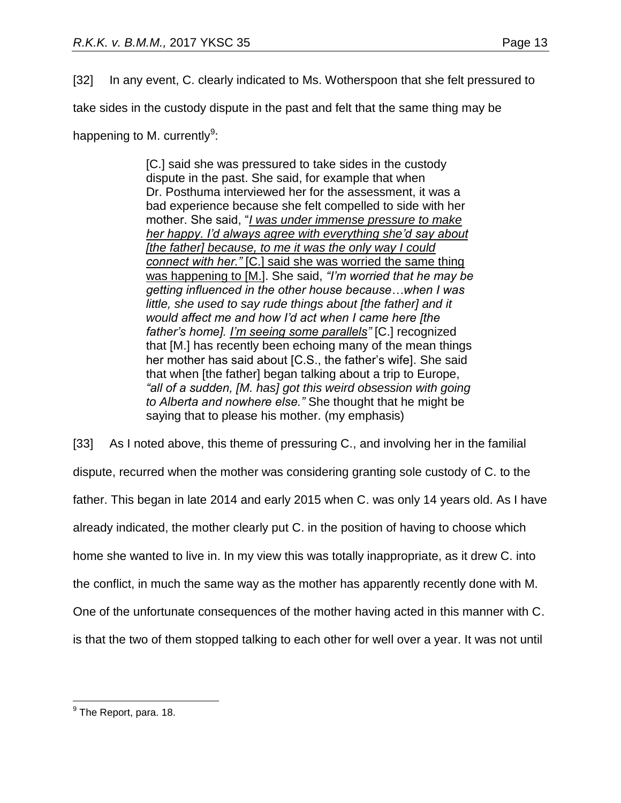[32] In any event, C. clearly indicated to Ms. Wotherspoon that she felt pressured to

take sides in the custody dispute in the past and felt that the same thing may be

happening to M. currently<sup>9</sup>:

[C.] said she was pressured to take sides in the custody dispute in the past. She said, for example that when Dr. Posthuma interviewed her for the assessment, it was a bad experience because she felt compelled to side with her mother. She said, "*I was under immense pressure to make her happy. I'd always agree with everything she'd say about [the father] because, to me it was the only way I could connect with her."* [C.] said she was worried the same thing was happening to [M.]. She said, *"I'm worried that he may be getting influenced in the other house because…when I was little, she used to say rude things about [the father] and it would affect me and how I'd act when I came here [the father's home]. I'm seeing some parallels"* [C.] recognized that [M.] has recently been echoing many of the mean things her mother has said about [C.S., the father's wife]. She said that when [the father] began talking about a trip to Europe, *"all of a sudden, [M. has] got this weird obsession with going to Alberta and nowhere else."* She thought that he might be saying that to please his mother. (my emphasis)

[33] As I noted above, this theme of pressuring C., and involving her in the familial dispute, recurred when the mother was considering granting sole custody of C. to the father. This began in late 2014 and early 2015 when C. was only 14 years old. As I have already indicated, the mother clearly put C. in the position of having to choose which home she wanted to live in. In my view this was totally inappropriate, as it drew C. into the conflict, in much the same way as the mother has apparently recently done with M. One of the unfortunate consequences of the mother having acted in this manner with C. is that the two of them stopped talking to each other for well over a year. It was not until

 9 The Report, para. 18.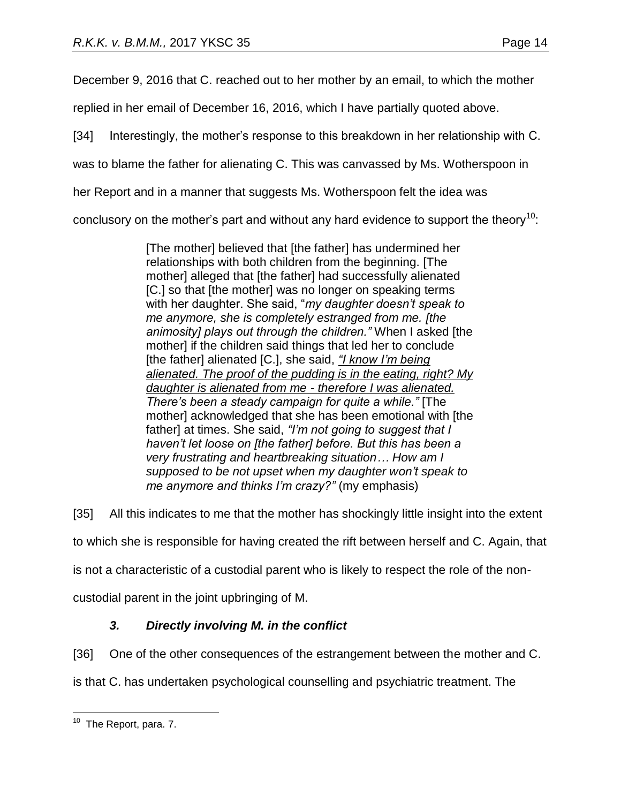December 9, 2016 that C. reached out to her mother by an email, to which the mother

replied in her email of December 16, 2016, which I have partially quoted above.

[34] Interestingly, the mother's response to this breakdown in her relationship with C.

was to blame the father for alienating C. This was canvassed by Ms. Wotherspoon in

her Report and in a manner that suggests Ms. Wotherspoon felt the idea was

conclusory on the mother's part and without any hard evidence to support the theory<sup>10</sup>:

[The mother] believed that [the father] has undermined her relationships with both children from the beginning. [The mother] alleged that [the father] had successfully alienated [C.] so that [the mother] was no longer on speaking terms with her daughter. She said, "*my daughter doesn't speak to me anymore, she is completely estranged from me. [the animosity] plays out through the children."* When I asked [the mother] if the children said things that led her to conclude [the father] alienated [C.], she said, *"I know I'm being alienated. The proof of the pudding is in the eating, right? My daughter is alienated from me - therefore I was alienated. There's been a steady campaign for quite a while."* [The mother] acknowledged that she has been emotional with [the father] at times. She said, *"I'm not going to suggest that I haven't let loose on [the father] before. But this has been a very frustrating and heartbreaking situation… How am I supposed to be not upset when my daughter won't speak to me anymore and thinks I'm crazy?"* (my emphasis)

[35] All this indicates to me that the mother has shockingly little insight into the extent

to which she is responsible for having created the rift between herself and C. Again, that

is not a characteristic of a custodial parent who is likely to respect the role of the non-

custodial parent in the joint upbringing of M.

# *3. Directly involving M. in the conflict*

[36] One of the other consequences of the estrangement between the mother and C.

is that C. has undertaken psychological counselling and psychiatric treatment. The

 $\overline{a}$ <sup>10</sup> The Report, para. 7.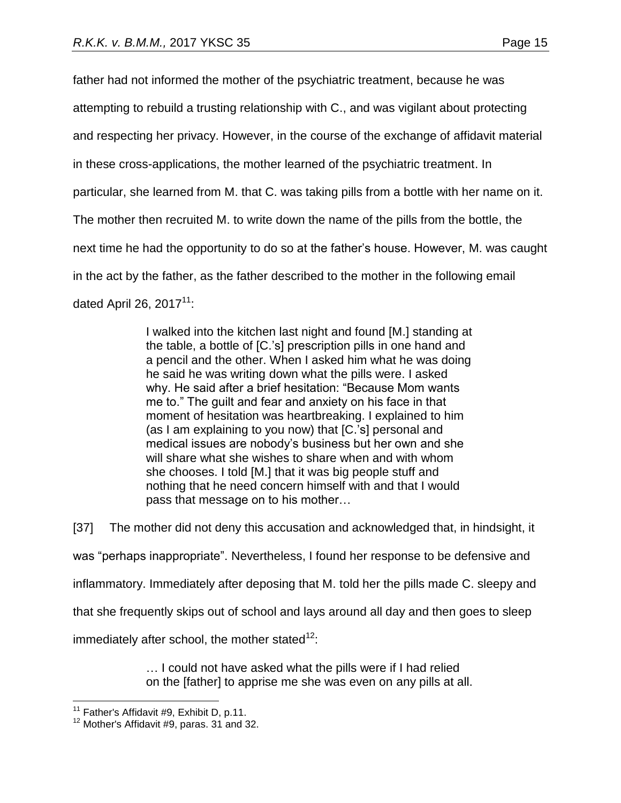father had not informed the mother of the psychiatric treatment, because he was attempting to rebuild a trusting relationship with C., and was vigilant about protecting and respecting her privacy. However, in the course of the exchange of affidavit material in these cross-applications, the mother learned of the psychiatric treatment. In particular, she learned from M. that C. was taking pills from a bottle with her name on it. The mother then recruited M. to write down the name of the pills from the bottle, the next time he had the opportunity to do so at the father's house. However, M. was caught in the act by the father, as the father described to the mother in the following email dated April 26,  $2017<sup>11</sup>$ :

> I walked into the kitchen last night and found [M.] standing at the table, a bottle of [C.'s] prescription pills in one hand and a pencil and the other. When I asked him what he was doing he said he was writing down what the pills were. I asked why. He said after a brief hesitation: "Because Mom wants me to." The guilt and fear and anxiety on his face in that moment of hesitation was heartbreaking. I explained to him (as I am explaining to you now) that [C.'s] personal and medical issues are nobody's business but her own and she will share what she wishes to share when and with whom she chooses. I told [M.] that it was big people stuff and nothing that he need concern himself with and that I would pass that message on to his mother…

[37] The mother did not deny this accusation and acknowledged that, in hindsight, it was "perhaps inappropriate". Nevertheless, I found her response to be defensive and inflammatory. Immediately after deposing that M. told her the pills made C. sleepy and that she frequently skips out of school and lays around all day and then goes to sleep immediately after school, the mother stated $12$ .

> … I could not have asked what the pills were if I had relied on the [father] to apprise me she was even on any pills at all.

 $11$  Father's Affidavit #9, Exhibit D, p.11.

 $12$  Mother's Affidavit #9, paras. 31 and 32.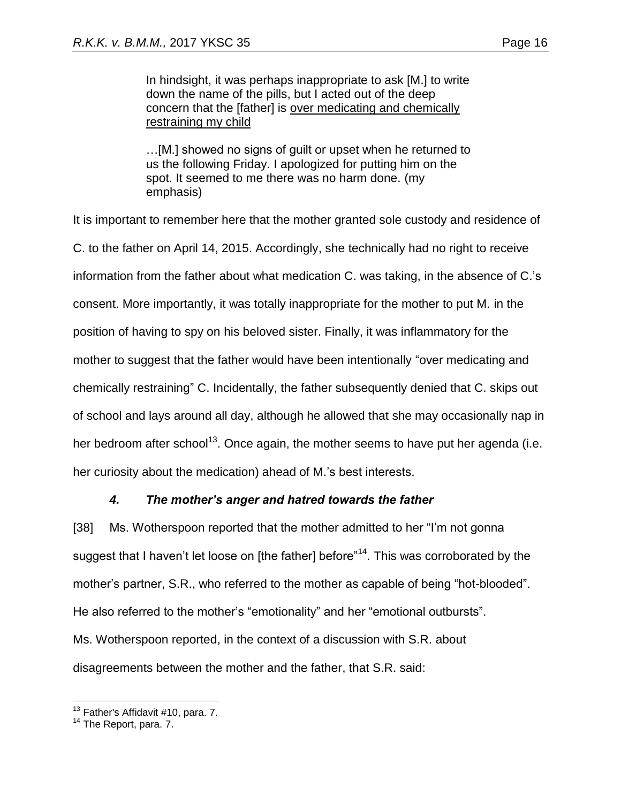In hindsight, it was perhaps inappropriate to ask [M.] to write down the name of the pills, but I acted out of the deep concern that the [father] is over medicating and chemically restraining my child

…[M.] showed no signs of guilt or upset when he returned to us the following Friday. I apologized for putting him on the spot. It seemed to me there was no harm done. (my emphasis)

It is important to remember here that the mother granted sole custody and residence of C. to the father on April 14, 2015. Accordingly, she technically had no right to receive information from the father about what medication C. was taking, in the absence of C.'s consent. More importantly, it was totally inappropriate for the mother to put M. in the position of having to spy on his beloved sister. Finally, it was inflammatory for the mother to suggest that the father would have been intentionally "over medicating and chemically restraining" C. Incidentally, the father subsequently denied that C. skips out of school and lays around all day, although he allowed that she may occasionally nap in her bedroom after school<sup>13</sup>. Once again, the mother seems to have put her agenda (i.e. her curiosity about the medication) ahead of M.'s best interests.

# *4. The mother's anger and hatred towards the father*

[38] Ms. Wotherspoon reported that the mother admitted to her "I'm not gonna suggest that I haven't let loose on [the father] before"<sup>14</sup>. This was corroborated by the mother's partner, S.R., who referred to the mother as capable of being "hot-blooded". He also referred to the mother's "emotionality" and her "emotional outbursts". Ms. Wotherspoon reported, in the context of a discussion with S.R. about disagreements between the mother and the father, that S.R. said:

 $13$  Father's Affidavit #10, para. 7.

<sup>&</sup>lt;sup>14</sup> The Report, para. 7.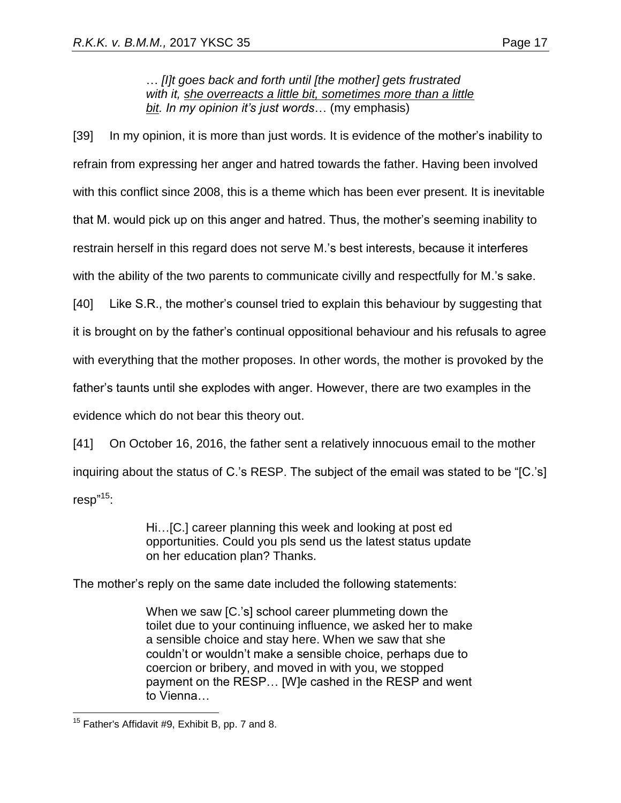… *[I]t goes back and forth until [the mother] gets frustrated with it, she overreacts a little bit, sometimes more than a little bit. In my opinion it's just words*… (my emphasis)

[39] In my opinion, it is more than just words. It is evidence of the mother's inability to refrain from expressing her anger and hatred towards the father. Having been involved with this conflict since 2008, this is a theme which has been ever present. It is inevitable that M. would pick up on this anger and hatred. Thus, the mother's seeming inability to restrain herself in this regard does not serve M.'s best interests, because it interferes with the ability of the two parents to communicate civilly and respectfully for M.'s sake.

[40] Like S.R., the mother's counsel tried to explain this behaviour by suggesting that it is brought on by the father's continual oppositional behaviour and his refusals to agree with everything that the mother proposes. In other words, the mother is provoked by the father's taunts until she explodes with anger. However, there are two examples in the evidence which do not bear this theory out.

[41] On October 16, 2016, the father sent a relatively innocuous email to the mother inquiring about the status of C.'s RESP. The subject of the email was stated to be "[C.'s] resp" 15:

> Hi…[C.] career planning this week and looking at post ed opportunities. Could you pls send us the latest status update on her education plan? Thanks.

The mother's reply on the same date included the following statements:

When we saw [C.'s] school career plummeting down the toilet due to your continuing influence, we asked her to make a sensible choice and stay here. When we saw that she couldn't or wouldn't make a sensible choice, perhaps due to coercion or bribery, and moved in with you, we stopped payment on the RESP… [W]e cashed in the RESP and went to Vienna…

 $\overline{a}$  $15$  Father's Affidavit #9, Exhibit B, pp. 7 and 8.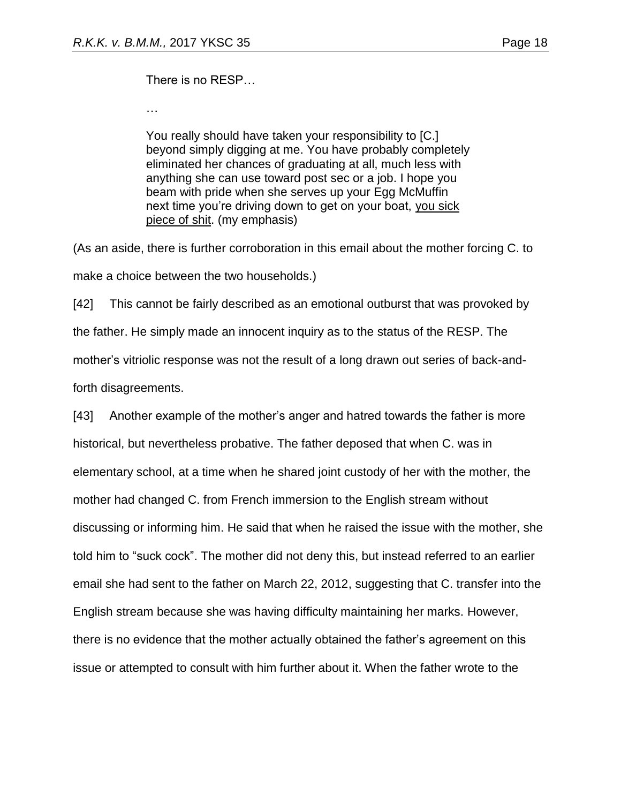There is no RESP…

…

You really should have taken your responsibility to [C.] beyond simply digging at me. You have probably completely eliminated her chances of graduating at all, much less with anything she can use toward post sec or a job. I hope you beam with pride when she serves up your Egg McMuffin next time you're driving down to get on your boat, you sick piece of shit. (my emphasis)

(As an aside, there is further corroboration in this email about the mother forcing C. to make a choice between the two households.)

[42] This cannot be fairly described as an emotional outburst that was provoked by the father. He simply made an innocent inquiry as to the status of the RESP. The mother's vitriolic response was not the result of a long drawn out series of back-andforth disagreements.

[43] Another example of the mother's anger and hatred towards the father is more historical, but nevertheless probative. The father deposed that when C. was in elementary school, at a time when he shared joint custody of her with the mother, the mother had changed C. from French immersion to the English stream without discussing or informing him. He said that when he raised the issue with the mother, she told him to "suck cock". The mother did not deny this, but instead referred to an earlier email she had sent to the father on March 22, 2012, suggesting that C. transfer into the English stream because she was having difficulty maintaining her marks. However, there is no evidence that the mother actually obtained the father's agreement on this issue or attempted to consult with him further about it. When the father wrote to the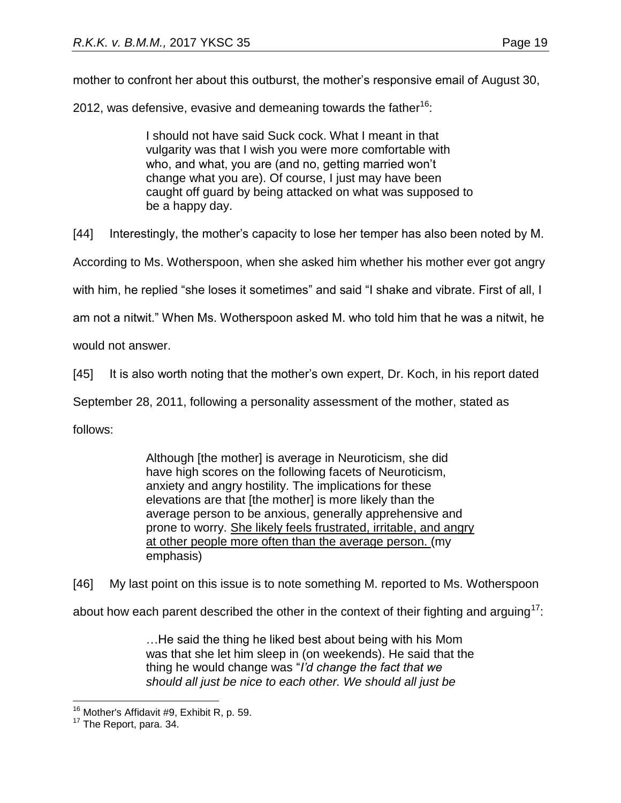mother to confront her about this outburst, the mother's responsive email of August 30,

2012, was defensive, evasive and demeaning towards the father<sup>16</sup>:

I should not have said Suck cock. What I meant in that vulgarity was that I wish you were more comfortable with who, and what, you are (and no, getting married won't change what you are). Of course, I just may have been caught off guard by being attacked on what was supposed to be a happy day.

[44] Interestingly, the mother's capacity to lose her temper has also been noted by M.

According to Ms. Wotherspoon, when she asked him whether his mother ever got angry

with him, he replied "she loses it sometimes" and said "I shake and vibrate. First of all, I

am not a nitwit." When Ms. Wotherspoon asked M. who told him that he was a nitwit, he

would not answer.

[45] It is also worth noting that the mother's own expert, Dr. Koch, in his report dated

September 28, 2011, following a personality assessment of the mother, stated as

follows:

Although [the mother] is average in Neuroticism, she did have high scores on the following facets of Neuroticism, anxiety and angry hostility. The implications for these elevations are that [the mother] is more likely than the average person to be anxious, generally apprehensive and prone to worry. She likely feels frustrated, irritable, and angry at other people more often than the average person. (my emphasis)

[46] My last point on this issue is to note something M. reported to Ms. Wotherspoon

about how each parent described the other in the context of their fighting and arguing<sup>17</sup>:

…He said the thing he liked best about being with his Mom was that she let him sleep in (on weekends). He said that the thing he would change was "*I'd change the fact that we should all just be nice to each other. We should all just be* 

 $16$  Mother's Affidavit #9, Exhibit R, p. 59.

<sup>&</sup>lt;sup>17</sup> The Report, para. 34.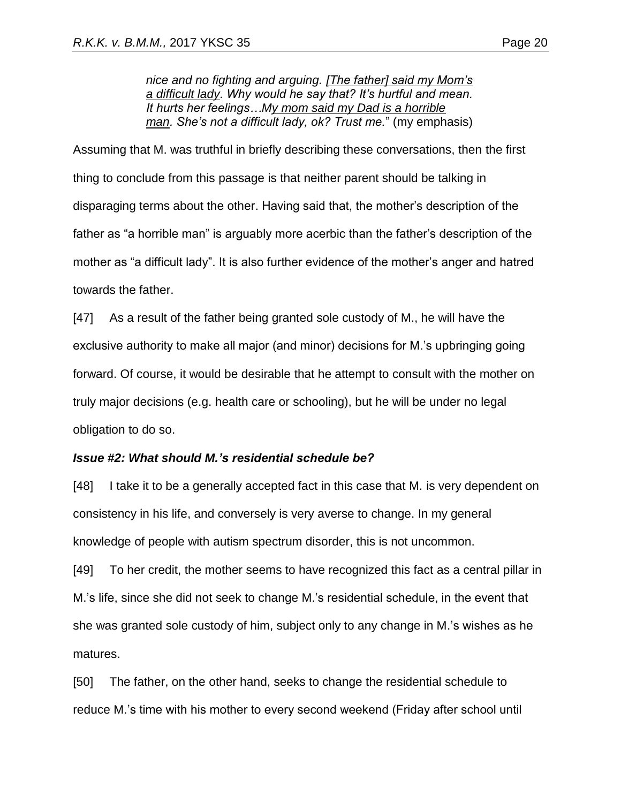*nice and no fighting and arguing. [The father] said my Mom's a difficult lady. Why would he say that? It's hurtful and mean. It hurts her feelings…My mom said my Dad is a horrible man. She's not a difficult lady, ok? Trust me.*" (my emphasis)

Assuming that M. was truthful in briefly describing these conversations, then the first thing to conclude from this passage is that neither parent should be talking in disparaging terms about the other. Having said that, the mother's description of the father as "a horrible man" is arguably more acerbic than the father's description of the mother as "a difficult lady". It is also further evidence of the mother's anger and hatred towards the father.

[47] As a result of the father being granted sole custody of M., he will have the exclusive authority to make all major (and minor) decisions for M.'s upbringing going forward. Of course, it would be desirable that he attempt to consult with the mother on truly major decisions (e.g. health care or schooling), but he will be under no legal obligation to do so.

#### *Issue #2: What should M.'s residential schedule be?*

[48] I take it to be a generally accepted fact in this case that M. is very dependent on consistency in his life, and conversely is very averse to change. In my general knowledge of people with autism spectrum disorder, this is not uncommon.

[49] To her credit, the mother seems to have recognized this fact as a central pillar in M.'s life, since she did not seek to change M.'s residential schedule, in the event that she was granted sole custody of him, subject only to any change in M.'s wishes as he matures.

[50] The father, on the other hand, seeks to change the residential schedule to reduce M.'s time with his mother to every second weekend (Friday after school until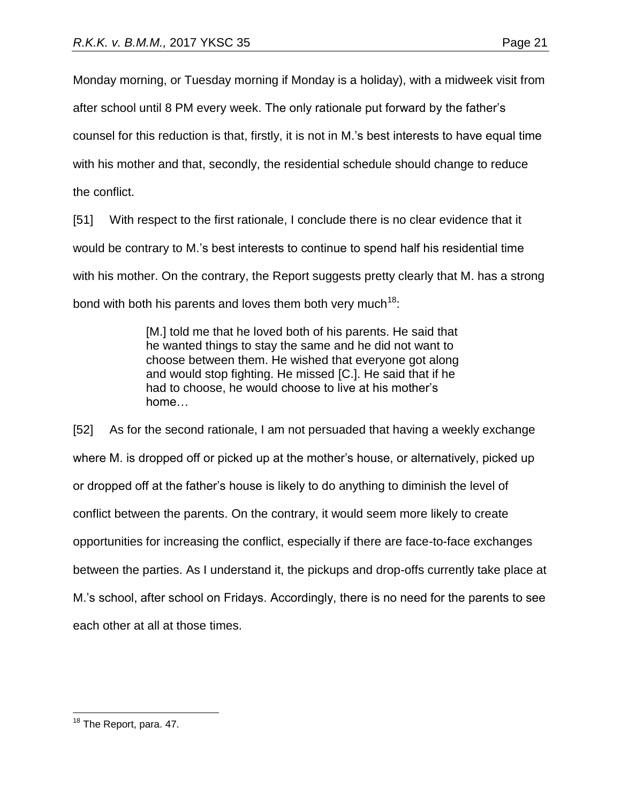Monday morning, or Tuesday morning if Monday is a holiday), with a midweek visit from after school until 8 PM every week. The only rationale put forward by the father's counsel for this reduction is that, firstly, it is not in M.'s best interests to have equal time with his mother and that, secondly, the residential schedule should change to reduce the conflict.

[51] With respect to the first rationale, I conclude there is no clear evidence that it would be contrary to M.'s best interests to continue to spend half his residential time with his mother. On the contrary, the Report suggests pretty clearly that M. has a strong bond with both his parents and loves them both very much<sup>18</sup>:

> [M.] told me that he loved both of his parents. He said that he wanted things to stay the same and he did not want to choose between them. He wished that everyone got along and would stop fighting. He missed [C.]. He said that if he had to choose, he would choose to live at his mother's home…

[52] As for the second rationale, I am not persuaded that having a weekly exchange where M. is dropped off or picked up at the mother's house, or alternatively, picked up or dropped off at the father's house is likely to do anything to diminish the level of conflict between the parents. On the contrary, it would seem more likely to create opportunities for increasing the conflict, especially if there are face-to-face exchanges between the parties. As I understand it, the pickups and drop-offs currently take place at M.'s school, after school on Fridays. Accordingly, there is no need for the parents to see each other at all at those times.

 $\overline{a}$ <sup>18</sup> The Report, para. 47.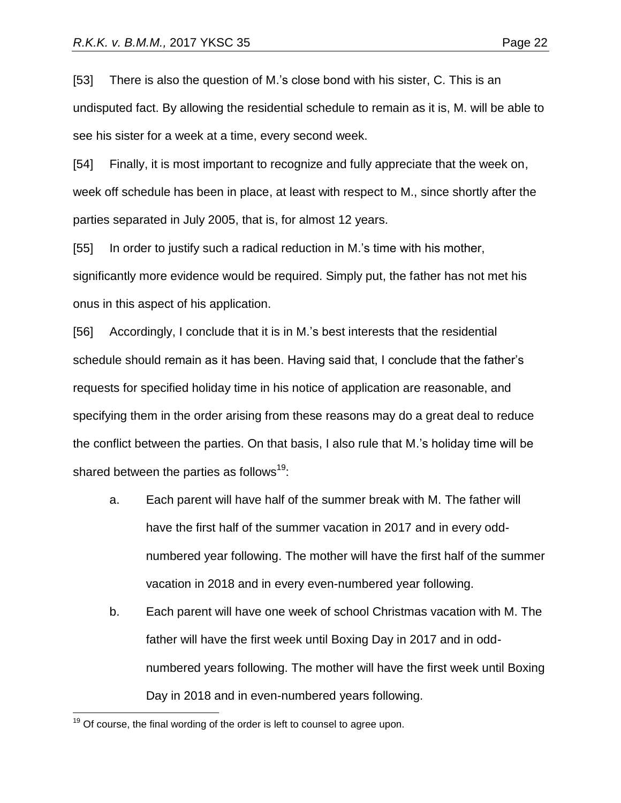[53] There is also the question of M.'s close bond with his sister, C. This is an undisputed fact. By allowing the residential schedule to remain as it is, M. will be able to see his sister for a week at a time, every second week.

[54] Finally, it is most important to recognize and fully appreciate that the week on, week off schedule has been in place, at least with respect to M., since shortly after the parties separated in July 2005, that is, for almost 12 years.

[55] In order to justify such a radical reduction in M.'s time with his mother, significantly more evidence would be required. Simply put, the father has not met his onus in this aspect of his application.

[56] Accordingly, I conclude that it is in M.'s best interests that the residential schedule should remain as it has been. Having said that, I conclude that the father's requests for specified holiday time in his notice of application are reasonable, and specifying them in the order arising from these reasons may do a great deal to reduce the conflict between the parties. On that basis, I also rule that M.'s holiday time will be shared between the parties as follows<sup>19</sup>:

- a. Each parent will have half of the summer break with M. The father will have the first half of the summer vacation in 2017 and in every oddnumbered year following. The mother will have the first half of the summer vacation in 2018 and in every even-numbered year following.
- b. Each parent will have one week of school Christmas vacation with M. The father will have the first week until Boxing Day in 2017 and in oddnumbered years following. The mother will have the first week until Boxing Day in 2018 and in even-numbered years following.

 $19$  Of course, the final wording of the order is left to counsel to agree upon.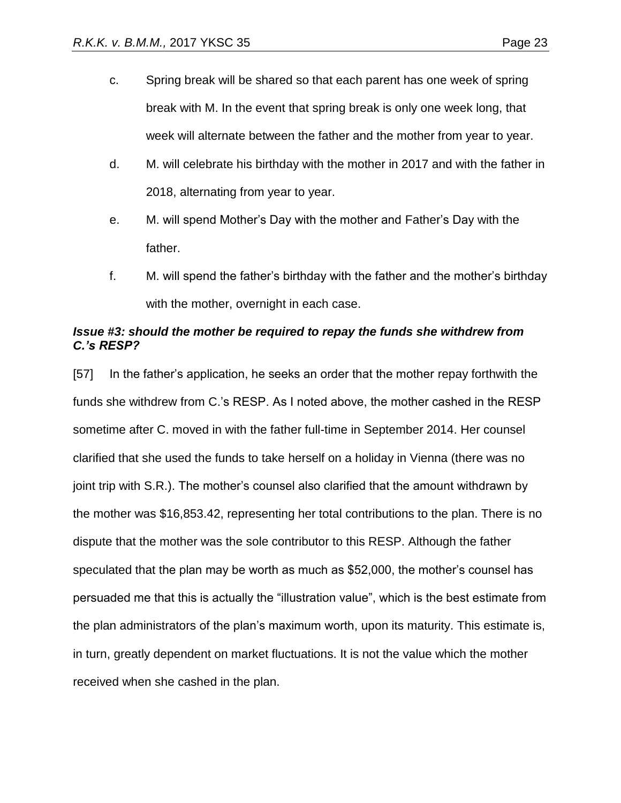- c. Spring break will be shared so that each parent has one week of spring break with M. In the event that spring break is only one week long, that week will alternate between the father and the mother from year to year.
- d. M. will celebrate his birthday with the mother in 2017 and with the father in 2018, alternating from year to year.
- e. M. will spend Mother's Day with the mother and Father's Day with the father.
- f. M. will spend the father's birthday with the father and the mother's birthday with the mother, overnight in each case.

# *Issue #3: should the mother be required to repay the funds she withdrew from C.'s RESP?*

[57] In the father's application, he seeks an order that the mother repay forthwith the funds she withdrew from C.'s RESP. As I noted above, the mother cashed in the RESP sometime after C. moved in with the father full-time in September 2014. Her counsel clarified that she used the funds to take herself on a holiday in Vienna (there was no joint trip with S.R.). The mother's counsel also clarified that the amount withdrawn by the mother was \$16,853.42, representing her total contributions to the plan. There is no dispute that the mother was the sole contributor to this RESP. Although the father speculated that the plan may be worth as much as \$52,000, the mother's counsel has persuaded me that this is actually the "illustration value", which is the best estimate from the plan administrators of the plan's maximum worth, upon its maturity. This estimate is, in turn, greatly dependent on market fluctuations. It is not the value which the mother received when she cashed in the plan.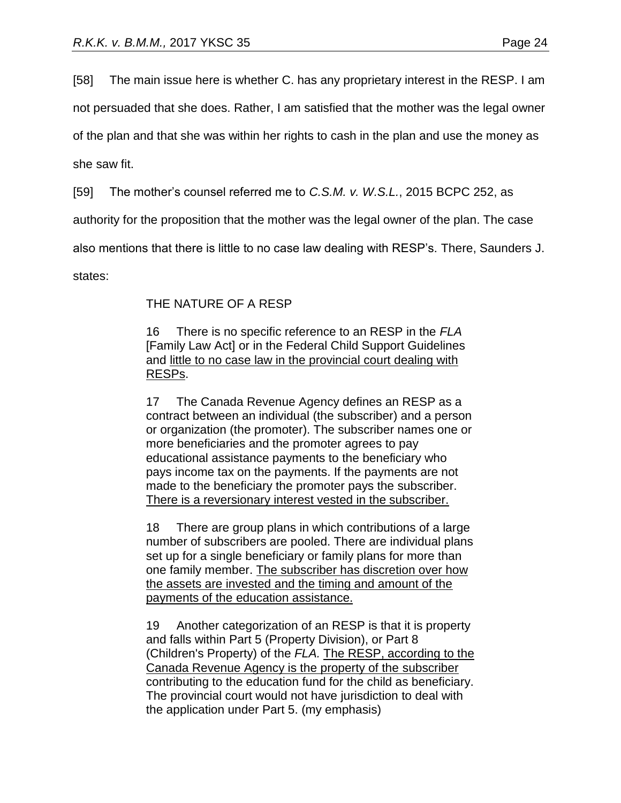[58] The main issue here is whether C. has any proprietary interest in the RESP. I am

not persuaded that she does. Rather, I am satisfied that the mother was the legal owner

of the plan and that she was within her rights to cash in the plan and use the money as

she saw fit.

[59] The mother's counsel referred me to *C.S.M. v. W.S.L.*, 2015 BCPC 252, as

authority for the proposition that the mother was the legal owner of the plan. The case

also mentions that there is little to no case law dealing with RESP's. There, Saunders J.

states:

# THE NATURE OF A RESP

16 There is no specific reference to an RESP in the *FLA* [Family Law Act] or in the Federal Child Support Guidelines and little to no case law in the provincial court dealing with RESPs.

17 The Canada Revenue Agency defines an RESP as a contract between an individual (the subscriber) and a person or organization (the promoter). The subscriber names one or more beneficiaries and the promoter agrees to pay educational assistance payments to the beneficiary who pays income tax on the payments. If the payments are not made to the beneficiary the promoter pays the subscriber. There is a reversionary interest vested in the subscriber.

18 There are group plans in which contributions of a large number of subscribers are pooled. There are individual plans set up for a single beneficiary or family plans for more than one family member. The subscriber has discretion over how the assets are invested and the timing and amount of the payments of the education assistance.

19 Another categorization of an RESP is that it is property and falls within Part 5 (Property Division), or Part 8 (Children's Property) of the *FLA.* The RESP, according to the Canada Revenue Agency is the property of the subscriber contributing to the education fund for the child as beneficiary. The provincial court would not have jurisdiction to deal with the application under Part 5. (my emphasis)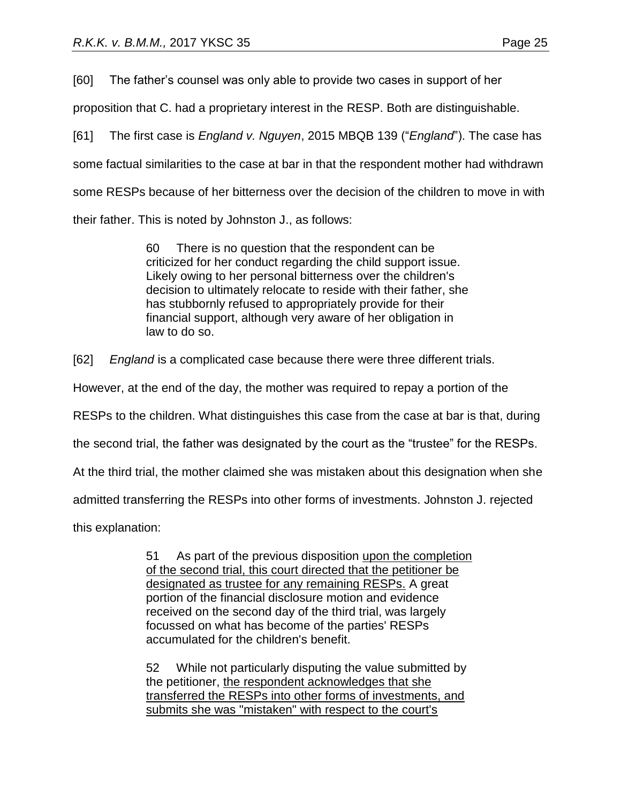[60] The father's counsel was only able to provide two cases in support of her

proposition that C. had a proprietary interest in the RESP. Both are distinguishable.

[61] The first case is *England v. Nguyen*, 2015 MBQB 139 ("*England*"). The case has some factual similarities to the case at bar in that the respondent mother had withdrawn some RESPs because of her bitterness over the decision of the children to move in with their father. This is noted by Johnston J., as follows:

> 60 There is no question that the respondent can be criticized for her conduct regarding the child support issue. Likely owing to her personal bitterness over the children's decision to ultimately relocate to reside with their father, she has stubbornly refused to appropriately provide for their financial support, although very aware of her obligation in law to do so.

[62] *England* is a complicated case because there were three different trials.

However, at the end of the day, the mother was required to repay a portion of the

RESPs to the children. What distinguishes this case from the case at bar is that, during

the second trial, the father was designated by the court as the "trustee" for the RESPs.

At the third trial, the mother claimed she was mistaken about this designation when she

admitted transferring the RESPs into other forms of investments. Johnston J. rejected

this explanation:

51 As part of the previous disposition upon the completion of the second trial, this court directed that the petitioner be designated as trustee for any remaining RESPs. A great portion of the financial disclosure motion and evidence received on the second day of the third trial, was largely focussed on what has become of the parties' RESPs accumulated for the children's benefit.

52 While not particularly disputing the value submitted by the petitioner, the respondent acknowledges that she transferred the RESPs into other forms of investments, and submits she was "mistaken" with respect to the court's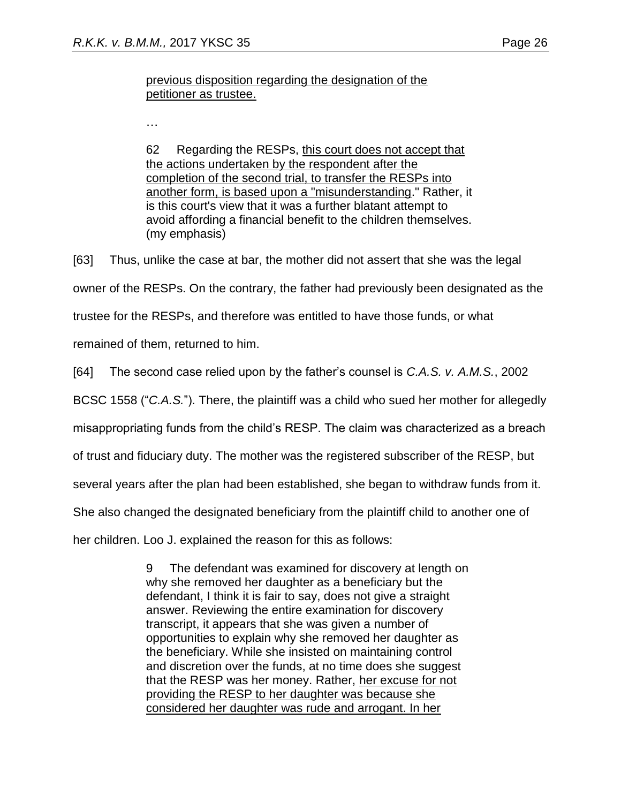# previous disposition regarding the designation of the petitioner as trustee.

…

62 Regarding the RESPs, this court does not accept that the actions undertaken by the respondent after the completion of the second trial, to transfer the RESPs into another form, is based upon a "misunderstanding." Rather, it is this court's view that it was a further blatant attempt to avoid affording a financial benefit to the children themselves. (my emphasis)

[63] Thus, unlike the case at bar, the mother did not assert that she was the legal owner of the RESPs. On the contrary, the father had previously been designated as the trustee for the RESPs, and therefore was entitled to have those funds, or what

remained of them, returned to him.

[64] The second case relied upon by the father's counsel is *C.A.S. v. A.M.S.*, 2002

BCSC 1558 ("*C.A.S.*"). There, the plaintiff was a child who sued her mother for allegedly

misappropriating funds from the child's RESP. The claim was characterized as a breach

of trust and fiduciary duty. The mother was the registered subscriber of the RESP, but

several years after the plan had been established, she began to withdraw funds from it.

She also changed the designated beneficiary from the plaintiff child to another one of

her children. Loo J. explained the reason for this as follows:

9 The defendant was examined for discovery at length on why she removed her daughter as a beneficiary but the defendant, I think it is fair to say, does not give a straight answer. Reviewing the entire examination for discovery transcript, it appears that she was given a number of opportunities to explain why she removed her daughter as the beneficiary. While she insisted on maintaining control and discretion over the funds, at no time does she suggest that the RESP was her money. Rather, her excuse for not providing the RESP to her daughter was because she considered her daughter was rude and arrogant. In her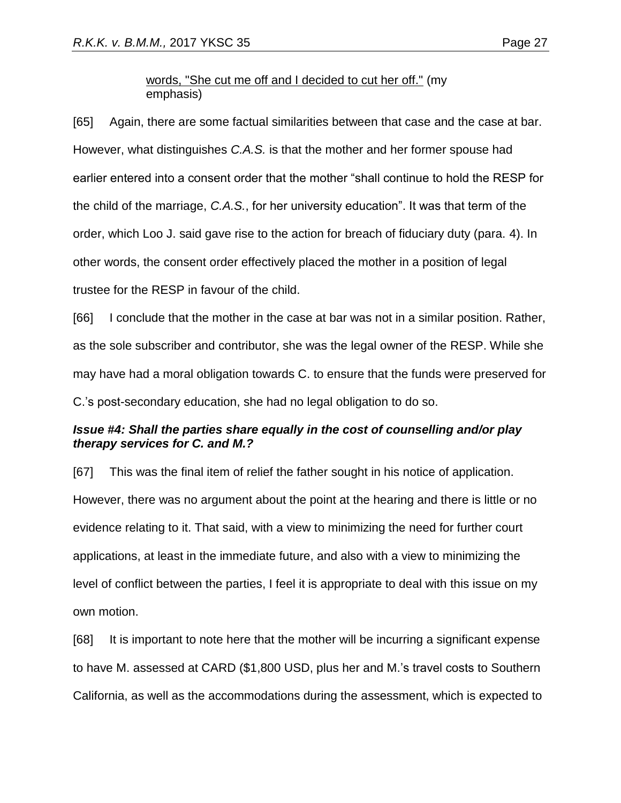# words, "She cut me off and I decided to cut her off." (my emphasis)

[65] Again, there are some factual similarities between that case and the case at bar. However, what distinguishes *C.A.S.* is that the mother and her former spouse had earlier entered into a consent order that the mother "shall continue to hold the RESP for the child of the marriage, *C.A.S.*, for her university education". It was that term of the order, which Loo J. said gave rise to the action for breach of fiduciary duty (para. 4). In other words, the consent order effectively placed the mother in a position of legal trustee for the RESP in favour of the child.

[66] I conclude that the mother in the case at bar was not in a similar position. Rather, as the sole subscriber and contributor, she was the legal owner of the RESP. While she may have had a moral obligation towards C. to ensure that the funds were preserved for C.'s post-secondary education, she had no legal obligation to do so.

# *Issue #4: Shall the parties share equally in the cost of counselling and/or play therapy services for C. and M.?*

[67] This was the final item of relief the father sought in his notice of application. However, there was no argument about the point at the hearing and there is little or no evidence relating to it. That said, with a view to minimizing the need for further court applications, at least in the immediate future, and also with a view to minimizing the level of conflict between the parties, I feel it is appropriate to deal with this issue on my own motion.

[68] It is important to note here that the mother will be incurring a significant expense to have M. assessed at CARD (\$1,800 USD, plus her and M.'s travel costs to Southern California, as well as the accommodations during the assessment, which is expected to